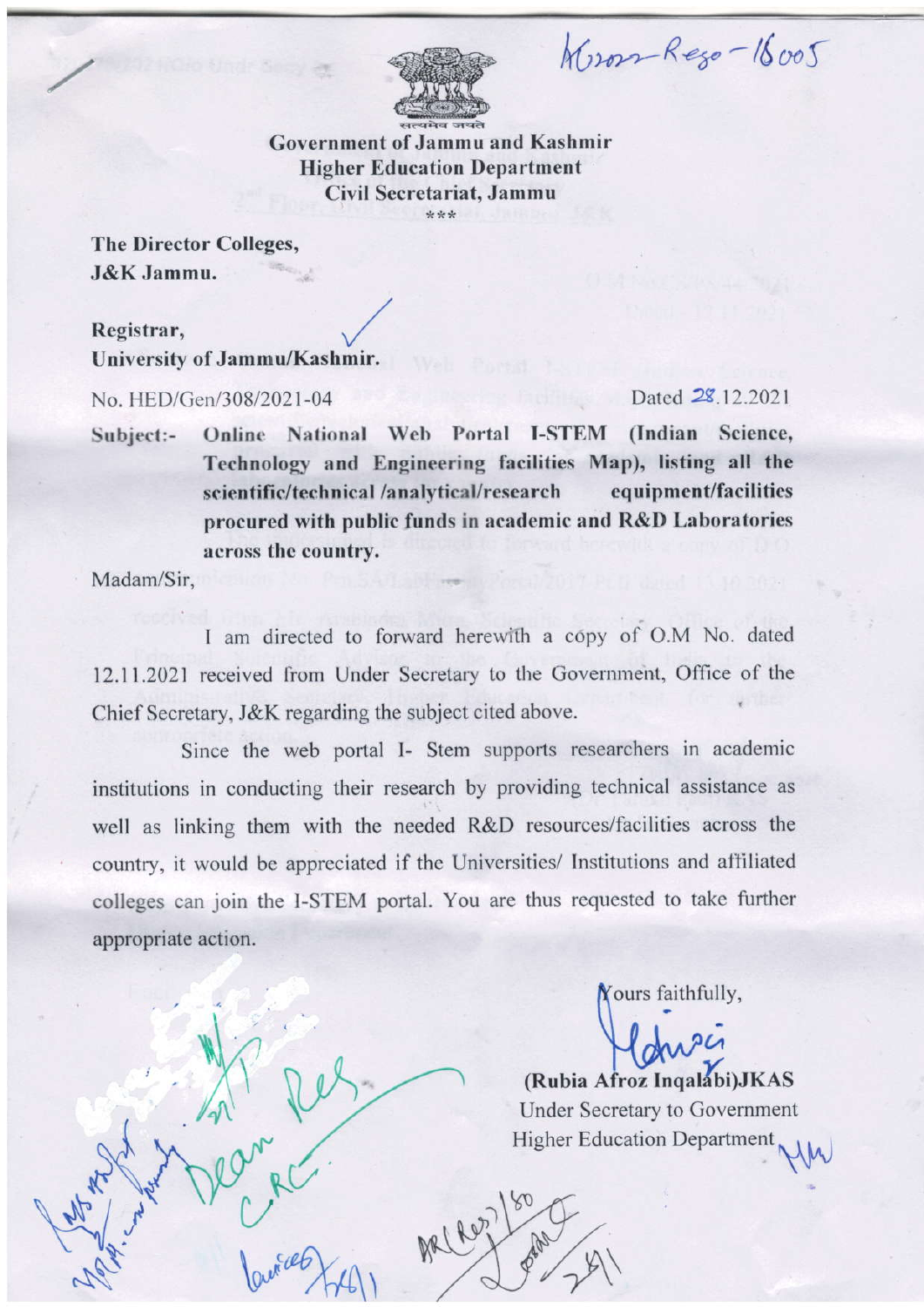Wron-Rego-16005



**Government of Jammu and Kashmir Higher Education Department** Civil Secretariat, Jammu \*\*\*

The Director Colleges, J&K Jammu.

Registrar, University of Jammu/Kashmir.

No. HED/Gen/308/2021-04

Dated 28, 12, 2021

**Online National Web Portal I-STEM** (Indian Science, Subject:-Technology and Engineering facilities Map), listing all the scientific/technical /analytical/research equipment/facilities procured with public funds in academic and R&D Laboratories across the country.

Madam/Sir,

I am directed to forward herewith a copy of O.M No. dated 12.11.2021 received from Under Secretary to the Government, Office of the Chief Secretary, J&K regarding the subject cited above.

Since the web portal I- Stem supports researchers in academic institutions in conducting their research by providing technical assistance as well as linking them with the needed R&D resources/facilities across the country, it would be appreciated if the Universities/ Institutions and affiliated colleges can join the I-STEM portal. You are thus requested to take further appropriate action.

ARL ROZ

Yours faithfully,

(Rubia Afroz Ingalabi) JKAS **Under Secretary to Government Higher Education Department**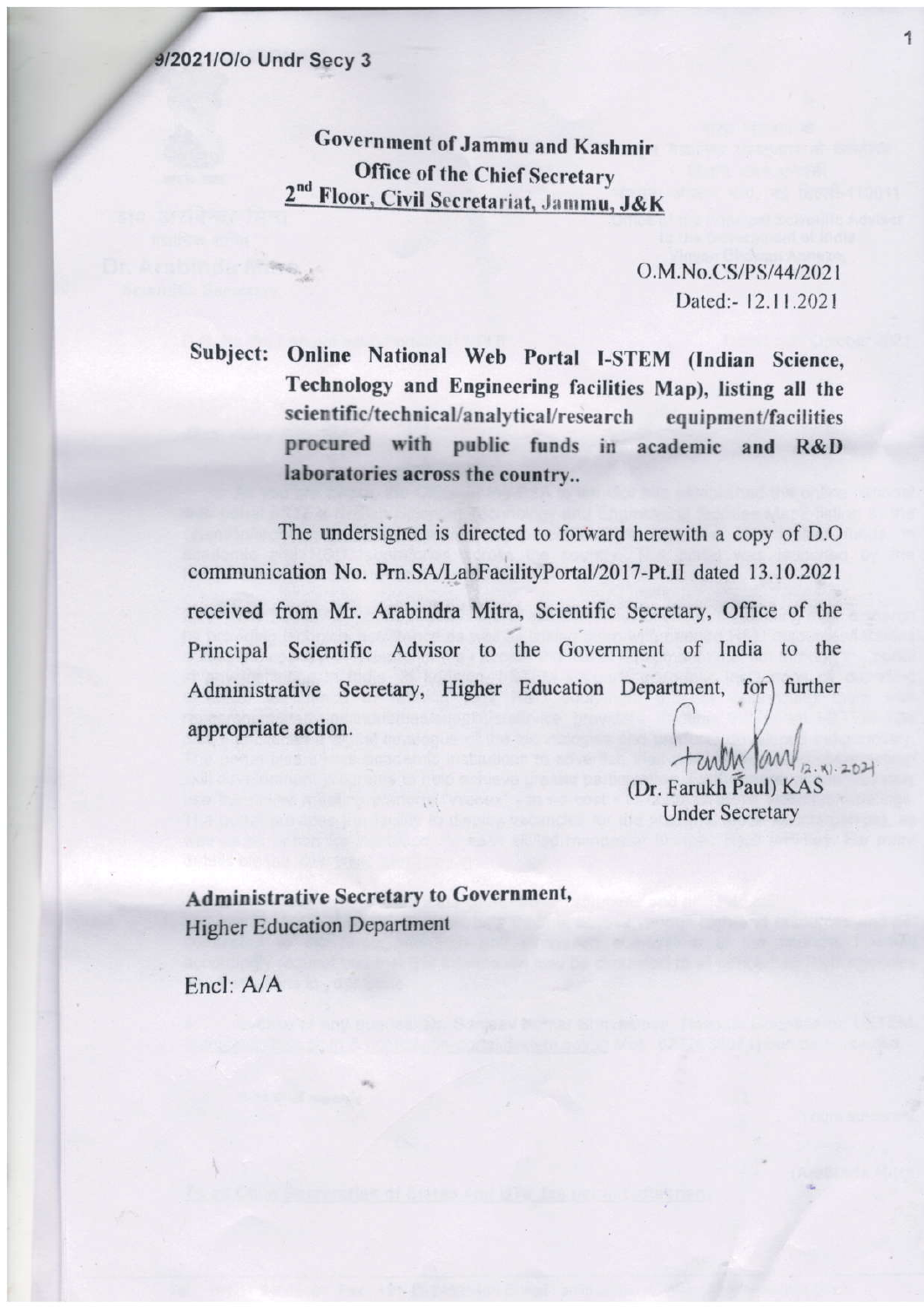Government of Jammu and Kashmir **Office of the Chief Secretary** Floor, Civil Secretariat, Jammu, J&K

> O.M.No.CS/PS/44/2021 Dated:-12.11.2021

Subject: Online National Web Portal I-STEM (Indian Science, Technology and Engineering facilities Map), listing all the scientific/technical/analytical/research equipment/facilities procured with public funds in academic and R&D laboratories across the country...

The undersigned is directed to forward herewith a copy of D.O. communication No. Prn.SA/LabFacilityPortal/2017-Pt.II dated 13.10.2021 received from Mr. Arabindra Mitra, Scientific Secretary, Office of the Principal Scientific Advisor to the Government of India to the Administrative Secretary, Higher Education Department, for) further appropriate action.

> tanth Jan 2. X1. 2021 (Dr. Farukh Paul) KAS **Under Secretary**

**Administrative Secretary to Government, Higher Education Department** 

Encl: A/A